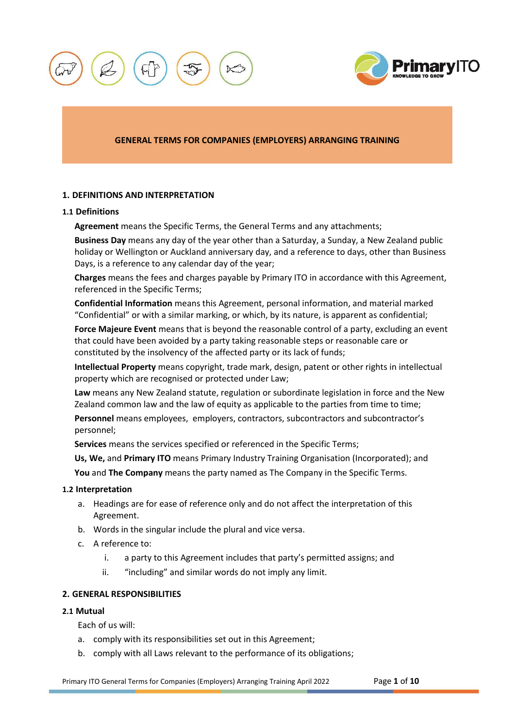



## **GENERAL TERMS FOR COMPANIES (EMPLOYERS) ARRANGING TRAINING**

### **1. DEFINITIONS AND INTERPRETATION**

## **1.1 Definitions**

**Agreement** means the Specific Terms, the General Terms and any attachments;

**Business Day** means any day of the year other than a Saturday, a Sunday, a New Zealand public holiday or Wellington or Auckland anniversary day, and a reference to days, other than Business Days, is a reference to any calendar day of the year;

**Charges** means the fees and charges payable by Primary ITO in accordance with this Agreement, referenced in the Specific Terms;

**Confidential Information** means this Agreement, personal information, and material marked "Confidential" or with a similar marking, or which, by its nature, is apparent as confidential;

**Force Majeure Event** means that is beyond the reasonable control of a party, excluding an event that could have been avoided by a party taking reasonable steps or reasonable care or constituted by the insolvency of the affected party or its lack of funds;

**Intellectual Property** means copyright, trade mark, design, patent or other rights in intellectual property which are recognised or protected under Law;

**Law** means any New Zealand statute, regulation or subordinate legislation in force and the New Zealand common law and the law of equity as applicable to the parties from time to time;

**Personnel** means employees, employers, contractors, subcontractors and subcontractor's personnel;

**Services** means the services specified or referenced in the Specific Terms;

**Us, We,** and **Primary ITO** means Primary Industry Training Organisation (Incorporated); and

**You** and **The Company** means the party named as The Company in the Specific Terms.

#### **1.2 Interpretation**

- a. Headings are for ease of reference only and do not affect the interpretation of this Agreement.
- b. Words in the singular include the plural and vice versa.
- c. A reference to:
	- i. a party to this Agreement includes that party's permitted assigns; and
	- ii. "including" and similar words do not imply any limit.

## <span id="page-0-0"></span>**2. GENERAL RESPONSIBILITIES**

# **2.1 Mutual**

Each of us will:

- a. comply with its responsibilities set out in this Agreement;
- b. comply with all Laws relevant to the performance of its obligations;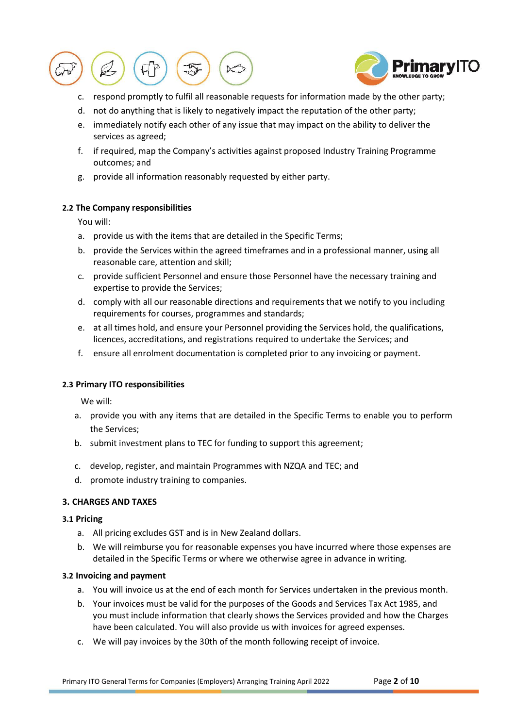



- c. respond promptly to fulfil all reasonable requests for information made by the other party;
- d. not do anything that is likely to negatively impact the reputation of the other party;
- e. immediately notify each other of any issue that may impact on the ability to deliver the services as agreed;
- f. if required, map the Company's activities against proposed Industry Training Programme outcomes; and
- g. provide all information reasonably requested by either party.

## **2.2 The Company responsibilities**

You will:

- a. provide us with the items that are detailed in the Specific Terms;
- b. provide the Services within the agreed timeframes and in a professional manner, using all reasonable care, attention and skill;
- c. provide sufficient Personnel and ensure those Personnel have the necessary training and expertise to provide the Services;
- d. comply with all our reasonable directions and requirements that we notify to you including requirements for courses, programmes and standards;
- e. at all times hold, and ensure your Personnel providing the Services hold, the qualifications, licences, accreditations, and registrations required to undertake the Services; and
- f. ensure all enrolment documentation is completed prior to any invoicing or payment.

# **2.3 Primary ITO responsibilities**

We will:

- a. provide you with any items that are detailed in the Specific Terms to enable you to perform the Services;
- b. submit investment plans to TEC for funding to support this agreement;
- c. develop, register, and maintain Programmes with NZQA and TEC; and
- d. promote industry training to companies.

# **3. CHARGES AND TAXES**

## **3.1 Pricing**

- a. All pricing excludes GST and is in New Zealand dollars.
- b. We will reimburse you for reasonable expenses you have incurred where those expenses are detailed in the Specific Terms or where we otherwise agree in advance in writing.

## <span id="page-1-0"></span>**3.2 Invoicing and payment**

- a. You will invoice us at the end of each month for Services undertaken in the previous month.
- b. Your invoices must be valid for the purposes of the Goods and Services Tax Act 1985, and you must include information that clearly shows the Services provided and how the Charges have been calculated. You will also provide us with invoices for agreed expenses.
- <span id="page-1-1"></span>c. We will pay invoices by the 30th of the month following receipt of invoice.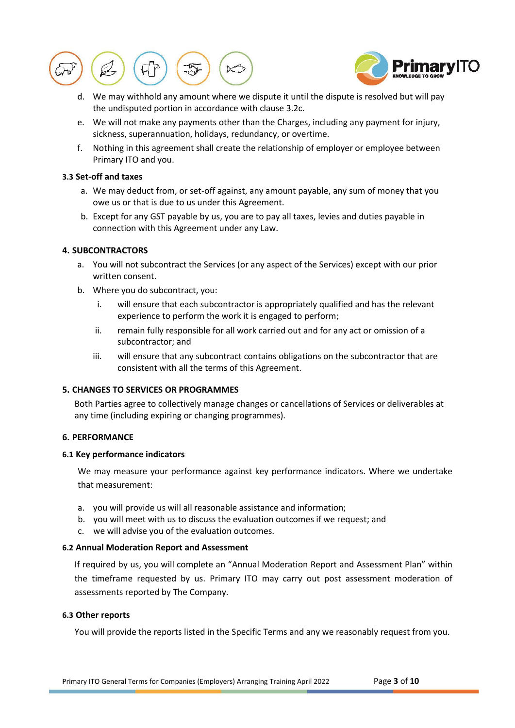



- d. We may withhold any amount where we dispute it until the dispute is resolved but will pay the undisputed portion in accordance with clause [3.2](#page-1-0)[c.](#page-1-1)
- e. We will not make any payments other than the Charges, including any payment for injury, sickness, superannuation, holidays, redundancy, or overtime.
- f. Nothing in this agreement shall create the relationship of employer or employee between Primary ITO and you.

## **3.3 Set-off and taxes**

- a. We may deduct from, or set-off against, any amount payable, any sum of money that you owe us or that is due to us under this Agreement.
- b. Except for any GST payable by us, you are to pay all taxes, levies and duties payable in connection with this Agreement under any Law.

## **4. SUBCONTRACTORS**

- a. You will not subcontract the Services (or any aspect of the Services) except with our prior written consent.
- b. Where you do subcontract, you:
	- i. will ensure that each subcontractor is appropriately qualified and has the relevant experience to perform the work it is engaged to perform;
	- ii. remain fully responsible for all work carried out and for any act or omission of a subcontractor; and
	- iii. will ensure that any subcontract contains obligations on the subcontractor that are consistent with all the terms of this Agreement.

## **5. CHANGES TO SERVICES OR PROGRAMMES**

Both Parties agree to collectively manage changes or cancellations of Services or deliverables at any time (including expiring or changing programmes).

#### **6. PERFORMANCE**

#### **6.1 Key performance indicators**

We may measure your performance against key performance indicators. Where we undertake that measurement:

- a. you will provide us will all reasonable assistance and information;
- b. you will meet with us to discuss the evaluation outcomes if we request; and
- c. we will advise you of the evaluation outcomes.

#### **6.2 Annual Moderation Report and Assessment**

If required by us, you will complete an "Annual Moderation Report and Assessment Plan" within the timeframe requested by us. Primary ITO may carry out post assessment moderation of assessments reported by The Company.

### **6.3 Other reports**

You will provide the reports listed in the Specific Terms and any we reasonably request from you.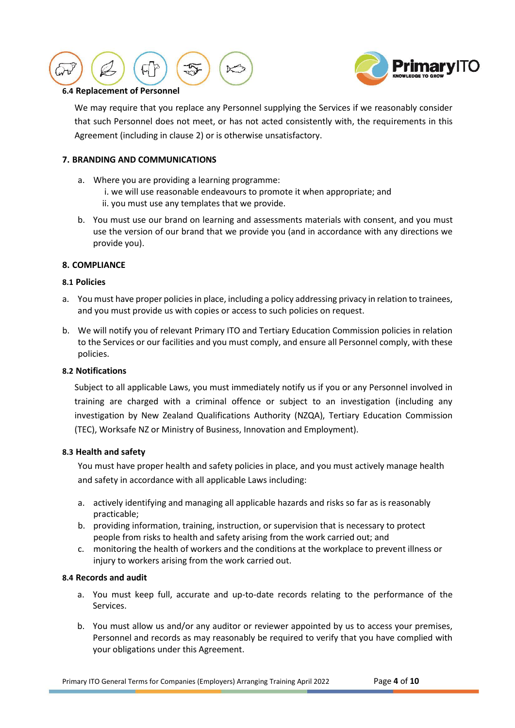



## **6.4 Replacement of Personnel**

We may require that you replace any Personnel supplying the Services if we reasonably consider that such Personnel does not meet, or has not acted consistently with, the requirements in this Agreement (including in clause [2\)](#page-0-0) or is otherwise unsatisfactory.

# **7. BRANDING AND COMMUNICATIONS**

- a. Where you are providing a learning programme:
	- i. we will use reasonable endeavours to promote it when appropriate; and
	- ii. you must use any templates that we provide.
- b. You must use our brand on learning and assessments materials with consent, and you must use the version of our brand that we provide you (and in accordance with any directions we provide you).

## **8. COMPLIANCE**

## **8.1 Policies**

- a. You must have proper policies in place, including a policy addressing privacy in relation to trainees, and you must provide us with copies or access to such policies on request.
- b. We will notify you of relevant Primary ITO and Tertiary Education Commission policies in relation to the Services or our facilities and you must comply, and ensure all Personnel comply, with these policies.

## **8.2 Notifications**

Subject to all applicable Laws, you must immediately notify us if you or any Personnel involved in training are charged with a criminal offence or subject to an investigation (including any investigation by New Zealand Qualifications Authority (NZQA), Tertiary Education Commission (TEC), Worksafe NZ or Ministry of Business, Innovation and Employment).

## <span id="page-3-0"></span>**8.3 Health and safety**

You must have proper health and safety policies in place, and you must actively manage health and safety in accordance with all applicable Laws including:

- a. actively identifying and managing all applicable hazards and risks so far as is reasonably practicable;
- b. providing information, training, instruction, or supervision that is necessary to protect people from risks to health and safety arising from the work carried out; and
- c. monitoring the health of workers and the conditions at the workplace to prevent illness or injury to workers arising from the work carried out.

## **8.4 Records and audit**

- a. You must keep full, accurate and up-to-date records relating to the performance of the Services.
- b. You must allow us and/or any auditor or reviewer appointed by us to access your premises, Personnel and records as may reasonably be required to verify that you have complied with your obligations under this Agreement.

Primary ITO General Terms for Companies (Employers) Arranging Training April 2022 Page **4** of **10**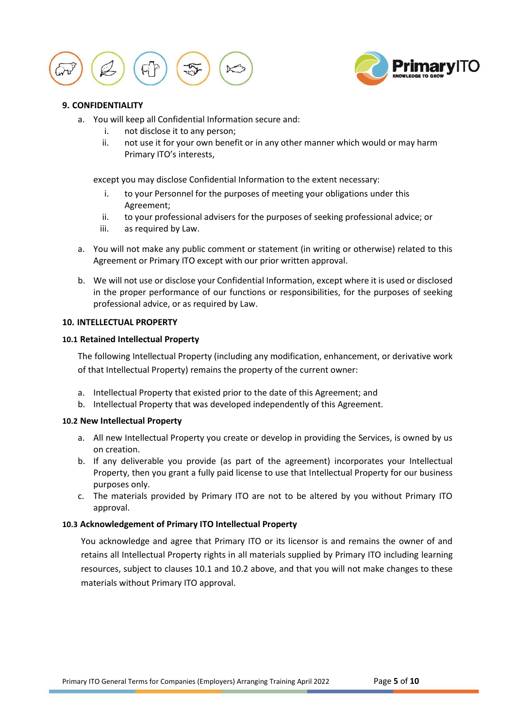



## <span id="page-4-0"></span>**9. CONFIDENTIALITY**

- a. You will keep all Confidential Information secure and:
	- i. not disclose it to any person;
	- ii. not use it for your own benefit or in any other manner which would or may harm Primary ITO's interests,

except you may disclose Confidential Information to the extent necessary:

- i. to your Personnel for the purposes of meeting your obligations under this Agreement;
- ii. to your professional advisers for the purposes of seeking professional advice; or
- iii. as required by Law.
- a. You will not make any public comment or statement (in writing or otherwise) related to this Agreement or Primary ITO except with our prior written approval.
- b. We will not use or disclose your Confidential Information, except where it is used or disclosed in the proper performance of our functions or responsibilities, for the purposes of seeking professional advice, or as required by Law.

#### <span id="page-4-1"></span>**10. INTELLECTUAL PROPERTY**

## **10.1 Retained Intellectual Property**

The following Intellectual Property (including any modification, enhancement, or derivative work of that Intellectual Property) remains the property of the current owner:

- a. Intellectual Property that existed prior to the date of this Agreement; and
- b. Intellectual Property that was developed independently of this Agreement.

#### **10.2 New Intellectual Property**

- a. All new Intellectual Property you create or develop in providing the Services, is owned by us on creation.
- b. If any deliverable you provide (as part of the agreement) incorporates your Intellectual Property, then you grant a fully paid license to use that Intellectual Property for our business purposes only.
- c. The materials provided by Primary ITO are not to be altered by you without Primary ITO approval.

## **10.3 Acknowledgement of Primary ITO Intellectual Property**

You acknowledge and agree that Primary ITO or its licensor is and remains the owner of and retains all Intellectual Property rights in all materials supplied by Primary ITO including learning resources, subject to clauses 10.1 and 10.2 above, and that you will not make changes to these materials without Primary ITO approval.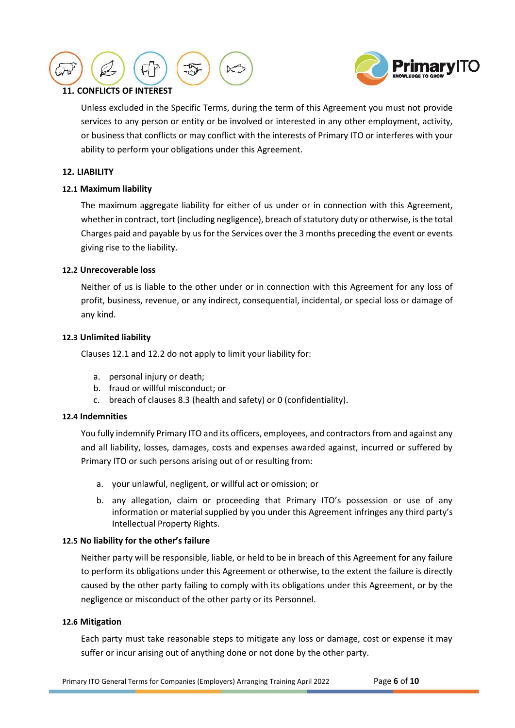



# **11. CONFLICTS OF INTEREST**

Unless excluded in the Specific Terms, during the term of this Agreement you must not provide services to any person or entity or be involved or interested in any other employment, activity, or business that conflicts or may conflict with the interests of Primary ITO or interferes with your ability to perform your obligations under this Agreement.

## <span id="page-5-2"></span>**12. LIABILITY**

## <span id="page-5-0"></span>**12.1 Maximum liability**

The maximum aggregate liability for either of us under or in connection with this Agreement, whether in contract, tort (including negligence), breach of statutory duty or otherwise, is the total Charges paid and payable by us for the Services over the 3 months preceding the event or events giving rise to the liability.

## <span id="page-5-1"></span>**12.2 Unrecoverable loss**

Neither of us is liable to the other under or in connection with this Agreement for any loss of profit, business, revenue, or any indirect, consequential, incidental, or special loss or damage of any kind.

## **12.3 Unlimited liability**

Clause[s 12.1](#page-5-0) and [12.2](#page-5-1) do not apply to limit your liability for:

- a. personal injury or death;
- b. fraud or willful misconduct; or
- c. breach of clauses [8.3](#page-3-0) (health and safety) or [0](#page-4-0) (confidentiality).

# **12.4 Indemnities**

You fully indemnify Primary ITO and its officers, employees, and contractors from and against any and all liability, losses, damages, costs and expenses awarded against, incurred or suffered by Primary ITO or such persons arising out of or resulting from:

- a. your unlawful, negligent, or willful act or omission; or
- b. any allegation, claim or proceeding that Primary ITO's possession or use of any information or material supplied by you under this Agreement infringes any third party's Intellectual Property Rights.

## **12.5 No liability for the other's failure**

Neither party will be responsible, liable, or held to be in breach of this Agreement for any failure to perform its obligations under this Agreement or otherwise, to the extent the failure is directly caused by the other party failing to comply with its obligations under this Agreement, or by the negligence or misconduct of the other party or its Personnel.

#### **12.6 Mitigation**

Each party must take reasonable steps to mitigate any loss or damage, cost or expense it may suffer or incur arising out of anything done or not done by the other party.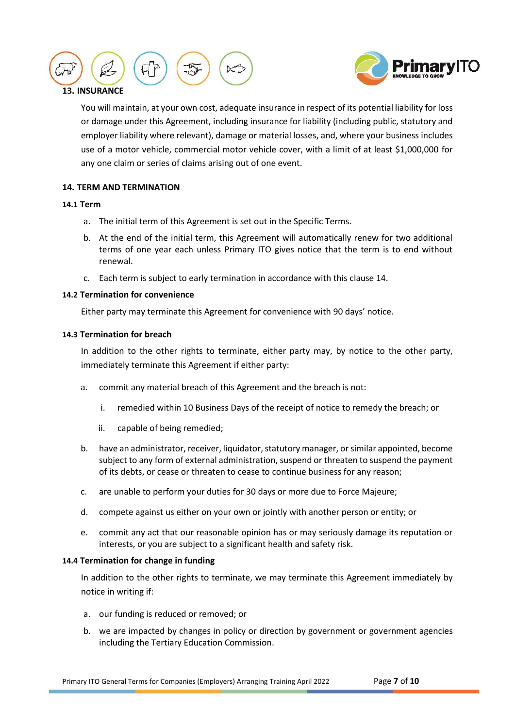



# **13. INSURANCE**

You will maintain, at your own cost, adequate insurance in respect of its potential liability for loss or damage under this Agreement, including insurance for liability (including public, statutory and employer liability where relevant), damage or material losses, and, where your business includes use of a motor vehicle, commercial motor vehicle cover, with a limit of at least \$1,000,000 for any one claim or series of claims arising out of one event.

# <span id="page-6-0"></span>**14. TERM AND TERMINATION**

## **14.1 Term**

- a. The initial term of this Agreement is set out in the Specific Terms.
- b. At the end of the initial term, this Agreement will automatically renew for two additional terms of one year each unless Primary ITO gives notice that the term is to end without renewal.
- c. Each term is subject to early termination in accordance with this claus[e 14.](#page-6-0)

## **14.2 Termination for convenience**

Either party may terminate this Agreement for convenience with 90 days' notice.

## <span id="page-6-1"></span>**14.3 Termination for breach**

In addition to the other rights to terminate, either party may, by notice to the other party, immediately terminate this Agreement if either party:

- a. commit any material breach of this Agreement and the breach is not:
	- i. remedied within 10 Business Days of the receipt of notice to remedy the breach; or
	- ii. capable of being remedied;
- b. have an administrator, receiver, liquidator, statutory manager, or similar appointed, become subject to any form of external administration, suspend or threaten to suspend the payment of its debts, or cease or threaten to cease to continue business for any reason;
- c. are unable to perform your duties for 30 days or more due to Force Majeure;
- d. compete against us either on your own or jointly with another person or entity; or
- e. commit any act that our reasonable opinion has or may seriously damage its reputation or interests, or you are subject to a significant health and safety risk.

## **14.4 Termination for change in funding**

In addition to the other rights to terminate, we may terminate this Agreement immediately by notice in writing if:

- a. our funding is reduced or removed; or
- b. we are impacted by changes in policy or direction by government or government agencies including the Tertiary Education Commission.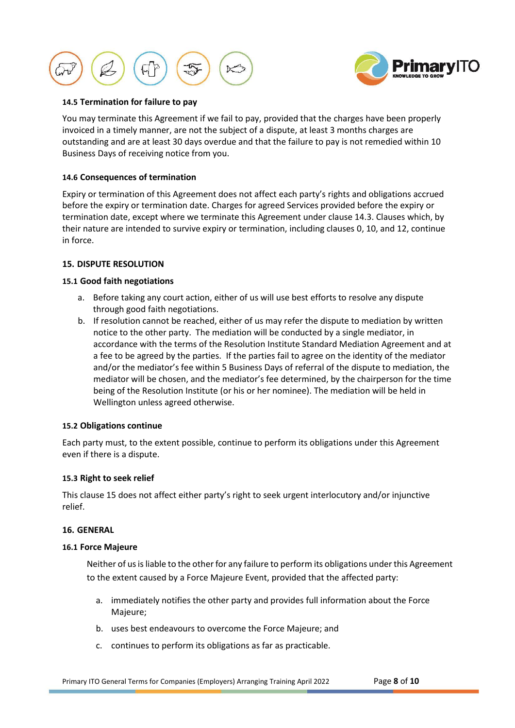



## **14.5 Termination for failure to pay**

You may terminate this Agreement if we fail to pay, provided that the charges have been properly invoiced in a timely manner, are not the subject of a dispute, at least 3 months charges are outstanding and are at least 30 days overdue and that the failure to pay is not remedied within 10 Business Days of receiving notice from you.

#### **14.6 Consequences of termination**

Expiry or termination of this Agreement does not affect each party's rights and obligations accrued before the expiry or termination date. Charges for agreed Services provided before the expiry or termination date, except where we terminate this Agreement under clause [14.3.](#page-6-1) Clauses which, by their nature are intended to survive expiry or termination, including clauses [0,](#page-4-0) [10,](#page-4-1) and [12,](#page-5-2) continue in force.

## <span id="page-7-0"></span>**15. DISPUTE RESOLUTION**

## **15.1 Good faith negotiations**

- a. Before taking any court action, either of us will use best efforts to resolve any dispute through good faith negotiations.
- b. If resolution cannot be reached, either of us may refer the dispute to mediation by written notice to the other party. The mediation will be conducted by a single mediator, in accordance with the terms of the Resolution Institute Standard Mediation Agreement and at a fee to be agreed by the parties. If the parties fail to agree on the identity of the mediator and/or the mediator's fee within 5 Business Days of referral of the dispute to mediation, the mediator will be chosen, and the mediator's fee determined, by the chairperson for the time being of the Resolution Institute (or his or her nominee). The mediation will be held in Wellington unless agreed otherwise.

#### **15.2 Obligations continue**

Each party must, to the extent possible, continue to perform its obligations under this Agreement even if there is a dispute.

#### **15.3 Right to seek relief**

This clause [15](#page-7-0) does not affect either party's right to seek urgent interlocutory and/or injunctive relief.

### **16. GENERAL**

#### **16.1 Force Majeure**

Neither of us is liable to the other for any failure to perform its obligations under this Agreement to the extent caused by a Force Majeure Event, provided that the affected party:

- a. immediately notifies the other party and provides full information about the Force Majeure;
- b. uses best endeavours to overcome the Force Majeure; and
- c. continues to perform its obligations as far as practicable.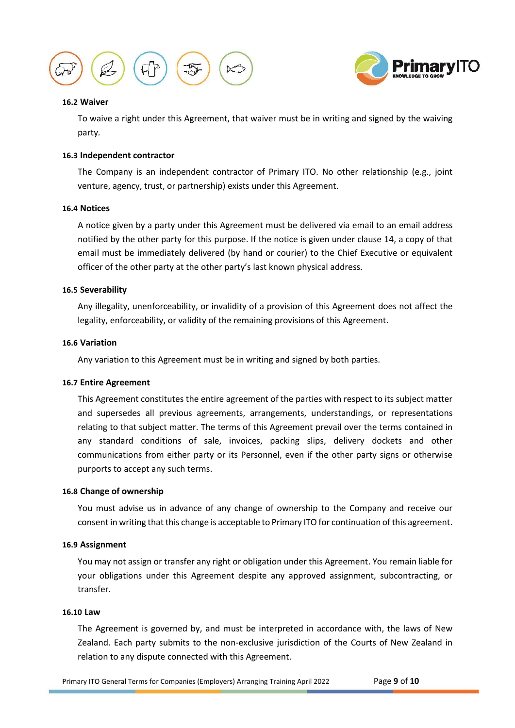



#### **16.2 Waiver**

To waive a right under this Agreement, that waiver must be in writing and signed by the waiving party*.* 

## **16.3 Independent contractor**

The Company is an independent contractor of Primary ITO. No other relationship (e.g., joint venture, agency, trust, or partnership) exists under this Agreement.

#### **16.4 Notices**

A notice given by a party under this Agreement must be delivered via email to an email address notified by the other party for this purpose. If the notice is given under clause 14, a copy of that email must be immediately delivered (by hand or courier) to the Chief Executive or equivalent officer of the other party at the other party's last known physical address.

## **16.5 Severability**

Any illegality, unenforceability, or invalidity of a provision of this Agreement does not affect the legality, enforceability, or validity of the remaining provisions of this Agreement.

#### **16.6 Variation**

Any variation to this Agreement must be in writing and signed by both parties.

#### **16.7 Entire Agreement**

This Agreement constitutes the entire agreement of the parties with respect to its subject matter and supersedes all previous agreements, arrangements, understandings, or representations relating to that subject matter. The terms of this Agreement prevail over the terms contained in any standard conditions of sale, invoices, packing slips, delivery dockets and other communications from either party or its Personnel, even if the other party signs or otherwise purports to accept any such terms.

#### **16.8 Change of ownership**

You must advise us in advance of any change of ownership to the Company and receive our consent in writing that this change is acceptable to Primary ITO for continuation of this agreement.

#### **16.9 Assignment**

You may not assign or transfer any right or obligation under this Agreement. You remain liable for your obligations under this Agreement despite any approved assignment, subcontracting, or transfer.

#### **16.10 Law**

The Agreement is governed by, and must be interpreted in accordance with, the laws of New Zealand. Each party submits to the non-exclusive jurisdiction of the Courts of New Zealand in relation to any dispute connected with this Agreement.